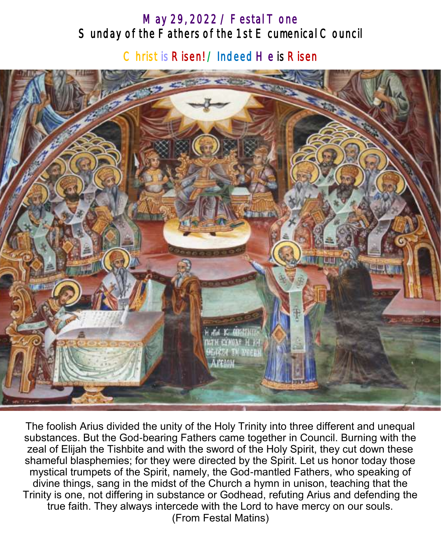# May 29, 2022 / Festal Tone Sunday of the Fathers of the 1st E cumenical Council

Christ is Risen! / Indeed He is Risen



The foolish Arius divided the unity of the Holy Trinity into three different and unequal substances. But the God-bearing Fathers came together in Council. Burning with the zeal of Elijah the Tishbite and with the sword of the Holy Spirit, they cut down these shameful blasphemies; for they were directed by the Spirit. Let us honor today those mystical trumpets of the Spirit, namely, the God-mantled Fathers, who speaking of divine things, sang in the midst of the Church a hymn in unison, teaching that the Trinity is one, not differing in substance or Godhead, refuting Arius and defending the true faith. They always intercede with the Lord to have mercy on our souls. (From Festal Matins)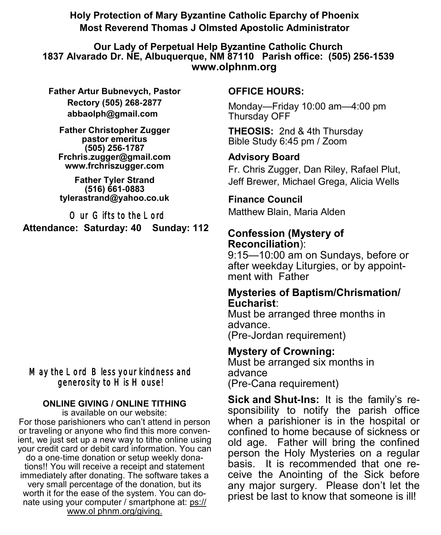**Holy Protection of Mary Byzantine Catholic Eparchy of Phoenix Most Reverend Thomas J Olmsted Apostolic Administrator** 

#### **Our Lady of Perpetual Help Byzantine Catholic Church 1837 Alvarado Dr. NE, Albuquerque, NM 87110 Parish office: (505) 256-1539 www.olphnm.org**

**Father Artur Bubnevych, Pastor Rectory (505) 268-2877 abbaolph@gmail.com** 

**Father Christopher Zugger pastor emeritus (505) 256-1787 Frchris.zugger@gmail.com www.frchriszugger.com** 

**Father Tyler Strand (516) 661-0883 tylerastrand@yahoo.co.uk**

Our Gifts to the Lord **Attendance: Saturday: 40 Sunday: 112** 

### May the Lord Bless your kindness and generosity to His House!

#### **ONLINE GIVING / ONLINE TITHING**

is available on our website: For those parishioners who can't attend in person or traveling or anyone who find this more convenient, we just set up a new way to tithe online using your credit card or debit card information. You can do a one-time donation or setup weekly donations!! You will receive a receipt and statement immediately after donating. The software takes a very small percentage of the donation, but its worth it for the ease of the system. You can donate using your computer / smartphone at: [ps://](https://www.olphnm.org/giving) [www.ol phnm.org/giving.](https://www.olphnm.org/giving) 

### **OFFICE HOURS:**

Monday—Friday 10:00 am—4:00 pm Thursday OFF

**THEOSIS:** 2nd & 4th Thursday Bible Study 6:45 pm / Zoom

### **Advisory Board**

Fr. Chris Zugger, Dan Riley, Rafael Plut, Jeff Brewer, Michael Grega, Alicia Wells

### **Finance Council**

Matthew Blain, Maria Alden

### **Confession (Mystery of Reconciliation**):

9:15—10:00 am on Sundays, before or after weekday Liturgies, or by appointment with Father

#### **Mysteries of Baptism/Chrismation/ Eucharist**:

Must be arranged three months in advance. (Pre-Jordan requirement)

## **Mystery of Crowning:**

Must be arranged six months in advance (Pre-Cana requirement)

**Sick and Shut-Ins:** It is the family's responsibility to notify the parish office when a parishioner is in the hospital or confined to home because of sickness or old age. Father will bring the confined person the Holy Mysteries on a regular basis. It is recommended that one receive the Anointing of the Sick before any major surgery. Please don't let the priest be last to know that someone is ill!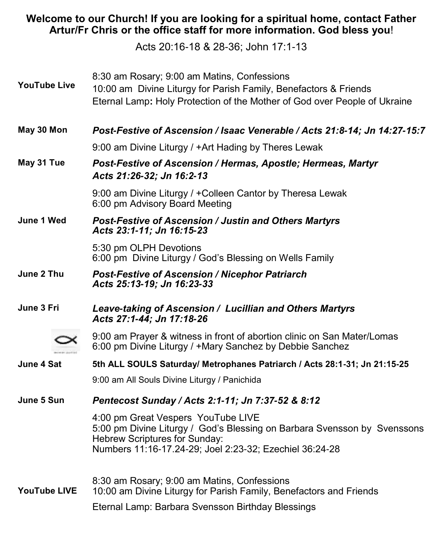### **Welcome to our Church! If you are looking for a spiritual home, contact Father Artur/Fr Chris or the office staff for more information. God bless you**!

Acts 20:16-18 & 28-36; John 17:1-13

| <b>YouTube Live</b> | 8:30 am Rosary; 9:00 am Matins, Confessions<br>10:00 am Divine Liturgy for Parish Family, Benefactors & Friends<br>Eternal Lamp: Holy Protection of the Mother of God over People of Ukraine               |
|---------------------|------------------------------------------------------------------------------------------------------------------------------------------------------------------------------------------------------------|
| May 30 Mon          | Post-Festive of Ascension / Isaac Venerable / Acts 21:8-14; Jn 14:27-15:7                                                                                                                                  |
|                     | 9:00 am Divine Liturgy / +Art Hading by Theres Lewak                                                                                                                                                       |
| May 31 Tue          | Post-Festive of Ascension / Hermas, Apostle; Hermeas, Martyr<br>Acts 21:26-32; Jn 16:2-13                                                                                                                  |
|                     | 9:00 am Divine Liturgy / + Colleen Cantor by Theresa Lewak<br>6:00 pm Advisory Board Meeting                                                                                                               |
| June 1 Wed          | <b>Post-Festive of Ascension / Justin and Others Martyrs</b><br>Acts 23:1-11; Jn 16:15-23                                                                                                                  |
|                     | 5:30 pm OLPH Devotions<br>6:00 pm Divine Liturgy / God's Blessing on Wells Family                                                                                                                          |
| June 2 Thu          | <b>Post-Festive of Ascension / Nicephor Patriarch</b><br>Acts 25:13-19; Jn 16:23-33                                                                                                                        |
| June 3 Fri          | Leave-taking of Ascension / Lucillian and Others Martyrs<br>Acts 27:1-44; Jn 17:18-26                                                                                                                      |
|                     | 9:00 am Prayer & witness in front of abortion clinic on San Mater/Lomas<br>6:00 pm Divine Liturgy / +Mary Sanchez by Debbie Sanchez                                                                        |
| June 4 Sat          | 5th ALL SOULS Saturday/ Metrophanes Patriarch / Acts 28:1-31; Jn 21:15-25                                                                                                                                  |
|                     | 9:00 am All Souls Divine Liturgy / Panichida                                                                                                                                                               |
| June 5 Sun          | Pentecost Sunday / Acts 2:1-11; Jn 7:37-52 & 8:12                                                                                                                                                          |
|                     | 4:00 pm Great Vespers YouTube LIVE<br>5:00 pm Divine Liturgy / God's Blessing on Barbara Svensson by Svenssons<br>Hebrew Scriptures for Sunday:<br>Numbers 11:16-17.24-29; Joel 2:23-32; Ezechiel 36:24-28 |
| <b>YouTube LIVE</b> | 8:30 am Rosary; 9:00 am Matins, Confessions<br>10:00 am Divine Liturgy for Parish Family, Benefactors and Friends                                                                                          |
|                     | Eternal Lamp: Barbara Svensson Birthday Blessings                                                                                                                                                          |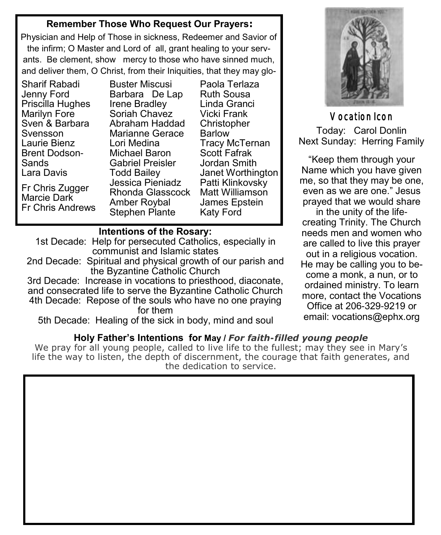### **Remember Those Who Request Our Prayers:**

Physician and Help of Those in sickness, Redeemer and Savior of the infirm; O Master and Lord of all, grant healing to your servants. Be clement, show mercy to those who have sinned much, and deliver them, O Christ, from their Iniquities, that they may glo-

Sharif Rabadi Jenny Ford Priscilla Hughes Marilyn Fore Sven & Barbara Svensson Laurie Bienz Brent Dodson-Sands Lara Davis

Fr Chris Zugger Marcie Dark Fr Chris Andrews

Buster Miscusi Barbara De Lap Irene Bradley Soriah Chavez Abraham Haddad Marianne Gerace Lori Medina Michael Baron Gabriel Preisler Todd Bailey Jessica Pieniadz Rhonda Glasscock Amber Roybal Stephen Plante

Paola Terlaza Ruth Sousa Linda Granci Vicki Frank **Christopher** Barlow Tracy McTernan Scott Fafrak Jordan Smith Janet Worthington Patti Klinkovsky Matt Williamson James Epstein Katy Ford

#### **Intentions of the Rosary:**

1st Decade: Help for persecuted Catholics, especially in communist and Islamic states

2nd Decade: Spiritual and physical growth of our parish and the Byzantine Catholic Church

3rd Decade: Increase in vocations to priesthood, diaconate, and consecrated life to serve the Byzantine Catholic Church 4th Decade: Repose of the souls who have no one praying for them

5th Decade: Healing of the sick in body, mind and soul

### **Holy Father's Intentions for May /** *For faith-filled young people*

We pray for all young people, called to live life to the fullest; may they see in Mary's life the way to listen, the depth of discernment, the courage that faith generates, and the dedication to service.



Vocation Icon Today: Carol Donlin Next Sunday: Herring Family

"Keep them through your Name which you have given me, so that they may be one, even as we are one." Jesus prayed that we would share in the unity of the lifecreating Trinity. The Church needs men and women who are called to live this prayer out in a religious vocation. He may be calling you to become a monk, a nun, or to ordained ministry. To learn more, contact the Vocations Office at 206-329-9219 or email: [vocations@ephx.org](mailto:vocations@ephx.org%20)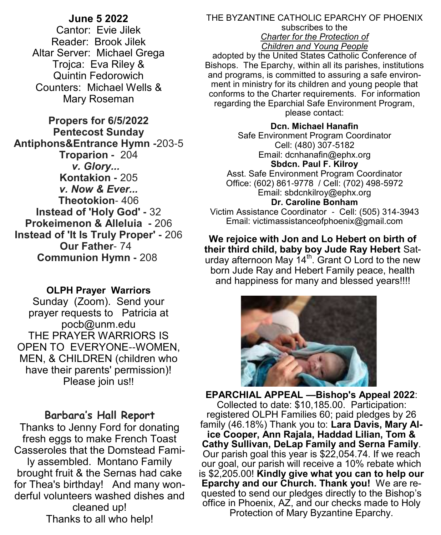#### **June 5 2022**

Cantor: Evie Jilek Reader: Brook Jilek Altar Server: Michael Grega Trojca: Eva Riley & Quintin Fedorowich Counters: Michael Wells & Mary Roseman

**Propers for 6/5/2022 Pentecost Sunday Antiphons&Entrance Hymn -**203-5 **Troparion -** 204 *v. Glory...*  **Kontakion -** 205 *v. Now & Ever...* **Theotokion**- 406 **Instead of 'Holy God' -** 32 **Prokeimenon & Alleluia -** 206 **Instead of 'It Is Truly Proper' -** 206 **Our Father**- 74 **Communion Hymn -** 208

#### **OLPH Prayer Warriors**

Sunday (Zoom). Send your prayer requests to Patricia at pocb@unm.edu THE PRAYER WARRIORS IS OPEN TO EVERYONE--WOMEN, MEN, & CHILDREN (children who have their parents' permission)! Please join us!!

#### **Barbara's Hall Report**

Thanks to Jenny Ford for donating fresh eggs to make French Toast Casseroles that the Domstead Family assembled. Montano Family brought fruit & the Sernas had cake for Thea's birthday! And many wonderful volunteers washed dishes and cleaned up! Thanks to all who help!

#### THE BYZANTINE CATHOLIC EPARCHY OF PHOENIX subscribes to the *Charter for the Protection of Children and Young People*

adopted by the United States Catholic Conference of Bishops. The Eparchy, within all its parishes, institutions and programs, is committed to assuring a safe environment in ministry for its children and young people that conforms to the Charter requirements. For information regarding the Eparchial Safe Environment Program, please contact:

**Dcn. Michael Hanafin** Safe Environment Program Coordinator Cell: (480) 307-5182 Email: dcnhanafin@ephx.org **Sbdcn. Paul F. Kilroy** Asst. Safe Environment Program Coordinator Office: (602) 861-9778 / Cell: (702) 498-5972 Email: [sbdcnkilroy@ephx.org](mailto:sbdcnkilroy@ephx.org) **Dr. Caroline Bonham** Victim Assistance Coordinator - Cell: (505) 314-3943 Email: [victimassistanceofphoenix@gmail.com](mailto:victimassistanceofphoenix@gmail.com)

**We rejoice with Jon and Lo Hebert on birth of their third child, baby boy Jude Ray Hebert** Saturday afternoon May  $14^{\text{th}}$ . Grant O Lord to the new born Jude Ray and Hebert Family peace, health and happiness for many and blessed years!!!!



**EPARCHIAL APPEAL —Bishop's Appeal 2022**: Collected to date: \$10,185.00. Participation: registered OLPH Families 60; paid pledges by 26 family (46.18%) Thank you to: **Lara Davis, Mary Alice Cooper, Ann Rajala, Haddad Lilian, Tom & Cathy Sullivan, DeLap Family and Serna Family**. Our parish goal this year is \$22,054.74. If we reach our goal, our parish will receive a 10% rebate which is \$2,205.00! **Kindly give what you can to help our Eparchy and our Church. Thank you!** We are requested to send our pledges directly to the Bishop's office in Phoenix, AZ, and our checks made to Holy Protection of Mary Byzantine Eparchy.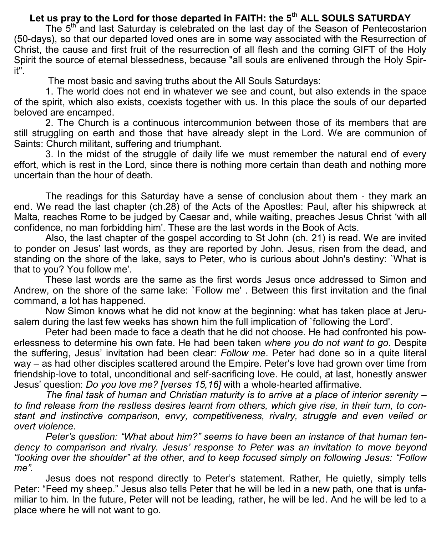# **Let us pray to the Lord for those departed in FAITH: the 5th ALL SOULS SATURDAY**

The 5<sup>th</sup> and last Saturday is celebrated on the last day of the Season of Pentecostarion (50-days), so that our departed loved ones are in some way associated with the Resurrection of Christ, the cause and first fruit of the resurrection of all flesh and the coming GIFT of the Holy Spirit the source of eternal blessedness, because "all souls are enlivened through the Holy Spirit".

The most basic and saving truths about the All Souls Saturdays:

1. The world does not end in whatever we see and count, but also extends in the space of the spirit, which also exists, coexists together with us. In this place the souls of our departed beloved are encamped.

2. The Church is a continuous intercommunion between those of its members that are still struggling on earth and those that have already slept in the Lord. We are communion of Saints: Church militant, suffering and triumphant.

3. In the midst of the struggle of daily life we must remember the natural end of every effort, which is rest in the Lord, since there is nothing more certain than death and nothing more uncertain than the hour of death.

The readings for this Saturday have a sense of conclusion about them - they mark an end. We read the last chapter (ch.28) of the Acts of the Apostles: Paul, after his shipwreck at Malta, reaches Rome to be judged by Caesar and, while waiting, preaches Jesus Christ 'with all confidence, no man forbidding him'. These are the last words in the Book of Acts.

Also, the last chapter of the gospel according to St John (ch. 21) is read. We are invited to ponder on Jesus' last words, as they are reported by John. Jesus, risen from the dead, and standing on the shore of the lake, says to Peter, who is curious about John's destiny: `What is that to you? You follow me'.

These last words are the same as the first words Jesus once addressed to Simon and Andrew, on the shore of the same lake: `Follow me' . Between this first invitation and the final command, a lot has happened.

Now Simon knows what he did not know at the beginning: what has taken place at Jerusalem during the last few weeks has shown him the full implication of `following the Lord'.

Peter had been made to face a death that he did not choose. He had confronted his powerlessness to determine his own fate. He had been taken *where you do not want to go*. Despite the suffering, Jesus' invitation had been clear: *Follow me*. Peter had done so in a quite literal way – as had other disciples scattered around the Empire. Peter's love had grown over time from friendship-love to total, unconditional and self-sacrificing love. He could, at last, honestly answer Jesus' question: *Do you love me? [verses 15,16]* with a whole-hearted affirmative.

*The final task of human and Christian maturity is to arrive at a place of interior serenity – to find release from the restless desires learnt from others, which give rise, in their turn, to constant and instinctive comparison, envy, competitiveness, rivalry, struggle and even veiled or overt violence.*

*Peter's question: "What about him?" seems to have been an instance of that human tendency to comparison and rivalry. Jesus' response to Peter was an invitation to move beyond "looking over the shoulder" at the other, and to keep focused simply on following Jesus: "Follow me".*

Jesus does not respond directly to Peter's statement. Rather, He quietly, simply tells Peter: "Feed my sheep." Jesus also tells Peter that he will be led in a new path, one that is unfamiliar to him. In the future, Peter will not be leading, rather, he will be led. And he will be led to a place where he will not want to go.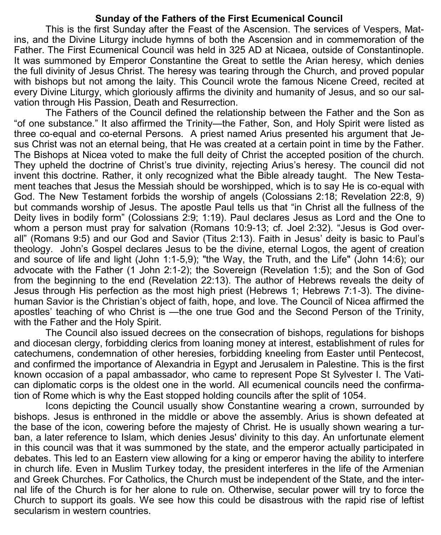#### **Sunday of the Fathers of the First Ecumenical Council**

This is the first Sunday after the Feast of the Ascension. The services of Vespers, Matins, and the Divine Liturgy include hymns of both the Ascension and in commemoration of the Father. The First Ecumenical Council was held in 325 AD at Nicaea, outside of Constantinople. It was summoned by Emperor Constantine the Great to settle the Arian heresy, which denies the full divinity of Jesus Christ. The heresy was tearing through the Church, and proved popular with bishops but not among the laity. This Council wrote the famous Nicene Creed, recited at every Divine Liturgy, which gloriously affirms the divinity and humanity of Jesus, and so our salvation through His Passion, Death and Resurrection.

The Fathers of the Council defined the relationship between the Father and the Son as "of one substance." It also affirmed the Trinity—the Father, Son, and Holy Spirit were listed as three co-equal and co-eternal Persons. A priest named Arius presented his argument that Jesus Christ was not an eternal being, that He was created at a certain point in time by the Father. The Bishops at Nicea voted to make the full deity of Christ the accepted position of the church. They upheld the doctrine of Christ's true divinity, rejecting Arius's heresy. The council did not invent this doctrine. Rather, it only recognized what the Bible already taught. The New Testament teaches that Jesus the Messiah should be worshipped, which is to say He is co-equal with God. The New Testament forbids the worship of angels (Colossians 2:18; Revelation 22:8, 9) but commands worship of Jesus. The apostle Paul tells us that "in Christ all the fullness of the Deity lives in bodily form" (Colossians 2:9; 1:19). Paul declares Jesus as Lord and the One to whom a person must pray for salvation (Romans 10:9-13; cf. Joel 2:32). "Jesus is God overall" (Romans 9:5) and our God and Savior (Titus 2:13). Faith in Jesus' deity is basic to Paul's theology. John's Gospel declares Jesus to be the divine, eternal Logos, the agent of creation and source of life and light (John 1:1-5,9); "the Way, the Truth, and the Life" (John 14:6); our advocate with the Father (1 John 2:1-2); the Sovereign (Revelation 1:5); and the Son of God from the beginning to the end (Revelation 22:13). The author of Hebrews reveals the deity of Jesus through His perfection as the most high priest (Hebrews 1; Hebrews 7:1-3). The divinehuman Savior is the Christian's object of faith, hope, and love. The Council of Nicea affirmed the apostles' teaching of who Christ is —the one true God and the Second Person of the Trinity, with the Father and the Holy Spirit.

The Council also issued decrees on the consecration of bishops, regulations for bishops and diocesan clergy, forbidding clerics from loaning money at interest, establishment of rules for catechumens, condemnation of other heresies, forbidding kneeling from Easter until Pentecost, and confirmed the importance of Alexandria in Egypt and Jerusalem in Palestine. This is the first known occasion of a papal ambassador, who came to represent Pope St Sylvester I. The Vatican diplomatic corps is the oldest one in the world. All ecumenical councils need the confirmation of Rome which is why the East stopped holding councils after the split of 1054.

Icons depicting the Council usually show Constantine wearing a crown, surrounded by bishops. Jesus is enthroned in the middle or above the assembly. Arius is shown defeated at the base of the icon, cowering before the majesty of Christ. He is usually shown wearing a turban, a later reference to Islam, which denies Jesus' divinity to this day. An unfortunate element in this council was that it was summoned by the state, and the emperor actually participated in debates. This led to an Eastern view allowing for a king or emperor having the ability to interfere in church life. Even in Muslim Turkey today, the president interferes in the life of the Armenian and Greek Churches. For Catholics, the Church must be independent of the State, and the internal life of the Church is for her alone to rule on. Otherwise, secular power will try to force the Church to support its goals. We see how this could be disastrous with the rapid rise of leftist secularism in western countries.